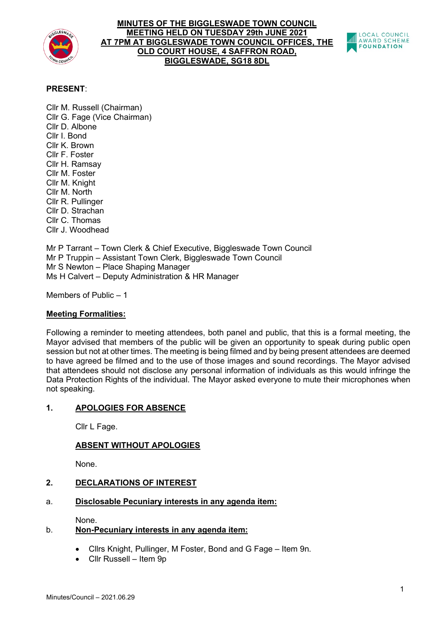

## **MINUTES OF THE BIGGLESWADE TOWN COUNCIL MEETING HELD ON TUESDAY 29th JUNE 2021 AT 7PM AT BIGGLESWADE TOWN COUNCIL OFFICES, THE OLD COURT HOUSE, 4 SAFFRON ROAD, BIGGLESWADE, SG18 8DL**



# **PRESENT**:

Cllr M. Russell (Chairman) Cllr G. Fage (Vice Chairman) Cllr D. Albone Cllr I. Bond Cllr K. Brown Cllr F. Foster Cllr H. Ramsay Cllr M. Foster Cllr M. Knight Cllr M. North Cllr R. Pullinger Cllr D. Strachan Cllr C. Thomas Cllr J. Woodhead

Mr P Tarrant – Town Clerk & Chief Executive, Biggleswade Town Council Mr P Truppin – Assistant Town Clerk, Biggleswade Town Council Mr S Newton – Place Shaping Manager Ms H Calvert – Deputy Administration & HR Manager

Members of Public – 1

#### **Meeting Formalities:**

Following a reminder to meeting attendees, both panel and public, that this is a formal meeting, the Mayor advised that members of the public will be given an opportunity to speak during public open session but not at other times. The meeting is being filmed and by being present attendees are deemed to have agreed be filmed and to the use of those images and sound recordings. The Mayor advised that attendees should not disclose any personal information of individuals as this would infringe the Data Protection Rights of the individual. The Mayor asked everyone to mute their microphones when not speaking.

## **1. APOLOGIES FOR ABSENCE**

Cllr L Fage.

## **ABSENT WITHOUT APOLOGIES**

None.

## **2. DECLARATIONS OF INTEREST**

## a. **Disclosable Pecuniary interests in any agenda item:**

None.

## b. **Non-Pecuniary interests in any agenda item:**

- Cllrs Knight, Pullinger, M Foster, Bond and G Fage Item 9n.
- Cllr Russell Item 9p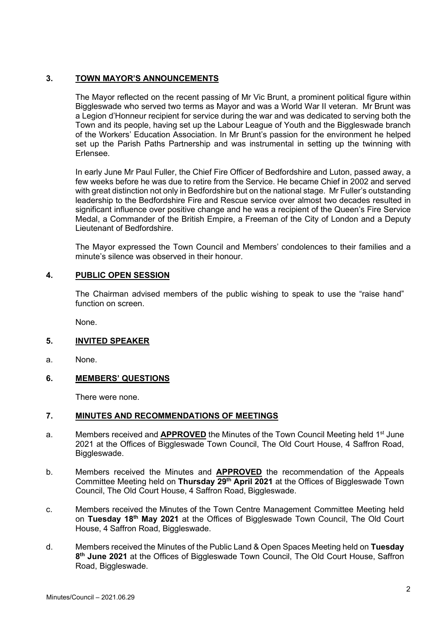# **3. TOWN MAYOR'S ANNOUNCEMENTS**

The Mayor reflected on the recent passing of Mr Vic Brunt, a prominent political figure within Biggleswade who served two terms as Mayor and was a World War II veteran. Mr Brunt was a Legion d'Honneur recipient for service during the war and was dedicated to serving both the Town and its people, having set up the Labour League of Youth and the Biggleswade branch of the Workers' Education Association. In Mr Brunt's passion for the environment he helped set up the Parish Paths Partnership and was instrumental in setting up the twinning with Erlensee.

In early June Mr Paul Fuller, the Chief Fire Officer of Bedfordshire and Luton, passed away, a few weeks before he was due to retire from the Service. He became Chief in 2002 and served with great distinction not only in Bedfordshire but on the national stage. Mr Fuller's outstanding leadership to the Bedfordshire Fire and Rescue service over almost two decades resulted in significant influence over positive change and he was a recipient of the Queen's Fire Service Medal, a Commander of the British Empire, a Freeman of the City of London and a Deputy Lieutenant of Bedfordshire.

The Mayor expressed the Town Council and Members' condolences to their families and a minute's silence was observed in their honour.

## **4. PUBLIC OPEN SESSION**

The Chairman advised members of the public wishing to speak to use the "raise hand" function on screen.

None.

## **5. INVITED SPEAKER**

a. None.

## **6. MEMBERS' QUESTIONS**

There were none.

## **7. MINUTES AND RECOMMENDATIONS OF MEETINGS**

- a. Members received and **APPROVED** the Minutes of the Town Council Meeting held 1st June 2021 at the Offices of Biggleswade Town Council, The Old Court House, 4 Saffron Road, Biggleswade.
- b. Members received the Minutes and **APPROVED** the recommendation of the Appeals Committee Meeting held on **Thursday 29th April 2021** at the Offices of Biggleswade Town Council, The Old Court House, 4 Saffron Road, Biggleswade.
- c. Members received the Minutes of the Town Centre Management Committee Meeting held on **Tuesday 18th May 2021** at the Offices of Biggleswade Town Council, The Old Court House, 4 Saffron Road, Biggleswade.
- d. Members received the Minutes of the Public Land & Open Spaces Meeting held on **Tuesday 8th June 2021** at the Offices of Biggleswade Town Council, The Old Court House, Saffron Road, Biggleswade.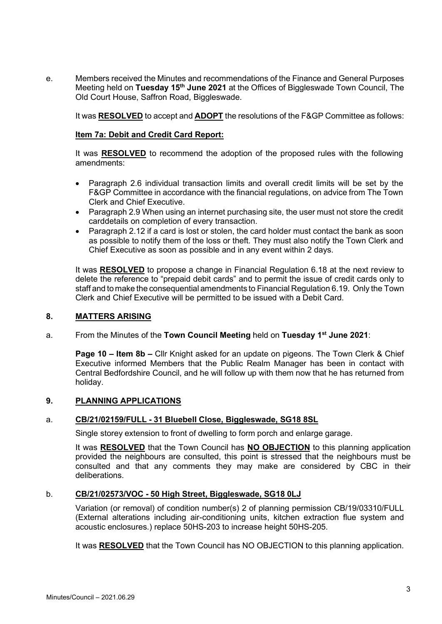e. Members received the Minutes and recommendations of the Finance and General Purposes Meeting held on **Tuesday 15th June 2021** at the Offices of Biggleswade Town Council, The Old Court House, Saffron Road, Biggleswade.

It was **RESOLVED** to accept and **ADOPT** the resolutions of the F&GP Committee as follows:

#### **Item 7a: Debit and Credit Card Report:**

It was **RESOLVED** to recommend the adoption of the proposed rules with the following amendments:

- Paragraph 2.6 individual transaction limits and overall credit limits will be set by the F&GP Committee in accordance with the financial regulations, on advice from The Town Clerk and Chief Executive.
- Paragraph 2.9 When using an internet purchasing site, the user must not store the credit carddetails on completion of every transaction.
- Paragraph 2.12 if a card is lost or stolen, the card holder must contact the bank as soon as possible to notify them of the loss or theft. They must also notify the Town Clerk and Chief Executive as soon as possible and in any event within 2 days.

It was **RESOLVED** to propose a change in Financial Regulation 6.18 at the next review to delete the reference to "prepaid debit cards" and to permit the issue of credit cards only to staff and to make the consequential amendments to Financial Regulation 6.19. Only the Town Clerk and Chief Executive will be permitted to be issued with a Debit Card.

#### **8. MATTERS ARISING**

a. From the Minutes of the **Town Council Meeting** held on **Tuesday 1st June 2021**:

**Page 10 – Item 8b –** Cllr Knight asked for an update on pigeons. The Town Clerk & Chief Executive informed Members that the Public Realm Manager has been in contact with Central Bedfordshire Council, and he will follow up with them now that he has returned from holiday.

#### **9. PLANNING APPLICATIONS**

#### a. **[CB/21/02159/FULL](http://plantech.centralbedfordshire.gov.uk/PLANTECH/DCWebPages/acolnetcgi.gov?ACTION=UNWRAP&RIPNAME=Root.PgeResultDetail&TheSystemkey=623640) - 31 Bluebell Close, Biggleswade, SG18 8SL**

Single storey extension to front of dwelling to form porch and enlarge garage.

It was **RESOLVED** that the Town Council has **NO OBJECTION** to this planning application provided the neighbours are consulted, this point is stressed that the neighbours must be consulted and that any comments they may make are considered by CBC in their deliberations.

#### b. **[CB/21/02573/VOC](http://plantech.centralbedfordshire.gov.uk/PLANTECH/DCWebPages/acolnetcgi.gov?ACTION=UNWRAP&RIPNAME=Root.PgeResultDetail&TheSystemkey=624054) - 50 High Street, Biggleswade, SG18 0LJ**

Variation (or removal) of condition number(s) 2 of planning permission CB/19/03310/FULL (External alterations including air-conditioning units, kitchen extraction flue system and acoustic enclosures.) replace 50HS-203 to increase height 50HS-205.

It was **RESOLVED** that the Town Council has NO OBJECTION to this planning application.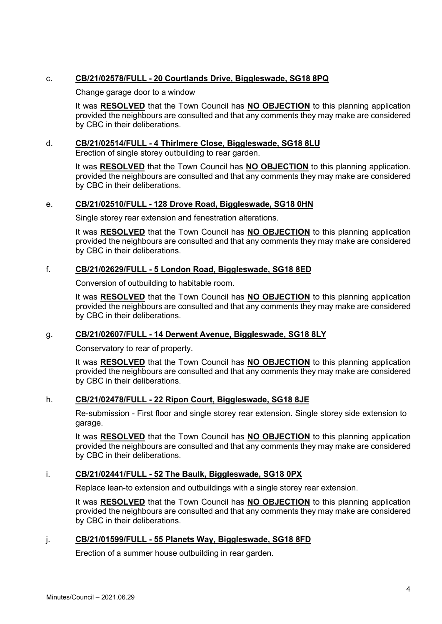# c. **[CB/21/02578/FULL](http://plantech.centralbedfordshire.gov.uk/PLANTECH/DCWebPages/acolnetcgi.gov?ACTION=UNWRAP&RIPNAME=Root.PgeResultDetail&TheSystemkey=624059) - 20 Courtlands Drive, Biggleswade, SG18 8PQ**

Change garage door to a window

It was **RESOLVED** that the Town Council has **NO OBJECTION** to this planning application provided the neighbours are consulted and that any comments they may make are considered by CBC in their deliberations.

## d. **CB/21/02514/FULL - [4 Thirlmere Close, Biggleswade, SG18 8LU](http://plantech.centralbedfordshire.gov.uk/PLANTECH/DCWebPages/acolnetcgi.gov?ACTION=UNWRAP&RIPNAME=Root.PgeResultDetail&TheSystemkey=623995)**

Erection of single storey outbuilding to rear garden.

It was **RESOLVED** that the Town Council has **NO OBJECTION** to this planning application. provided the neighbours are consulted and that any comments they may make are considered by CBC in their deliberations.

## e. **[CB/21/02510/FULL](http://plantech.centralbedfordshire.gov.uk/PLANTECH/DCWebPages/acolnetcgi.gov?ACTION=UNWRAP&RIPNAME=Root.PgeResultDetail&TheSystemkey=623991) - 128 Drove Road, Biggleswade, SG18 0HN**

Single storey rear extension and fenestration alterations.

It was **RESOLVED** that the Town Council has **NO OBJECTION** to this planning application provided the neighbours are consulted and that any comments they may make are considered by CBC in their deliberations.

## f. **CB/21/02629/FULL - [5 London Road, Biggleswade, SG18 8ED](http://plantech.centralbedfordshire.gov.uk/PLANTECH/DCWebPages/acolnetcgi.gov?ACTION=UNWRAP&RIPNAME=Root.PgeResultDetail&TheSystemkey=624110)**

Conversion of outbuilding to habitable room.

It was **RESOLVED** that the Town Council has **NO OBJECTION** to this planning application provided the neighbours are consulted and that any comments they may make are considered by CBC in their deliberations.

## g. **CB/21/02607/FULL - [14 Derwent Avenue, Biggleswade, SG18 8LY](http://plantech.centralbedfordshire.gov.uk/PLANTECH/DCWebPages/acolnetcgi.gov?ACTION=UNWRAP&RIPNAME=Root.PgeResultDetail&TheSystemkey=624088)**

Conservatory to rear of property.

It was **RESOLVED** that the Town Council has **NO OBJECTION** to this planning application provided the neighbours are consulted and that any comments they may make are considered by CBC in their deliberations.

## h. **CB/21/02478/FULL - [22 Ripon Court, Biggleswade, SG18 8JE](http://plantech.centralbedfordshire.gov.uk/PLANTECH/DCWebPages/acolnetcgi.gov?ACTION=UNWRAP&RIPNAME=Root.PgeResultDetail&TheSystemkey=623959)**

Re-submission - First floor and single storey rear extension. Single storey side extension to garage.

It was **RESOLVED** that the Town Council has **NO OBJECTION** to this planning application provided the neighbours are consulted and that any comments they may make are considered by CBC in their deliberations.

## i. **CB/21/02441/FULL - [52 The Baulk, Biggleswade, SG18 0PX](http://plantech.centralbedfordshire.gov.uk/PLANTECH/DCWebPages/acolnetcgi.gov?ACTION=UNWRAP&RIPNAME=Root.PgeResultDetail&TheSystemkey=623922)**

Replace lean-to extension and outbuildings with a single storey rear extension.

It was **RESOLVED** that the Town Council has **NO OBJECTION** to this planning application provided the neighbours are consulted and that any comments they may make are considered by CBC in their deliberations.

#### j. **CB/21/01599/FULL - [55 Planets Way, Biggleswade, SG18 8FD](http://plantech.centralbedfordshire.gov.uk/PLANTECH/DCWebPages/acolnetcgi.gov?ACTION=UNWRAP&RIPNAME=Root.PgeResultDetail&TheSystemkey=623080)**

Erection of a summer house outbuilding in rear garden.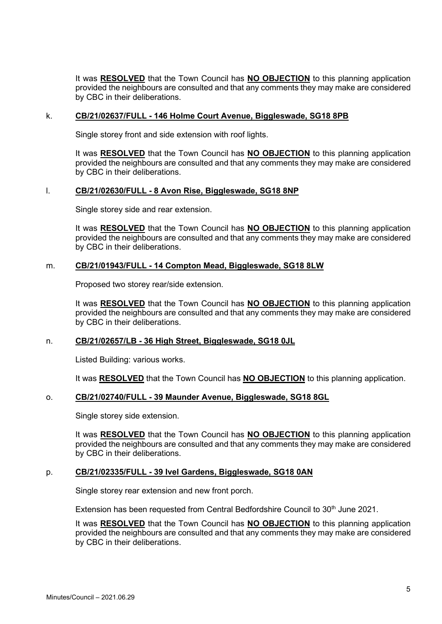It was **RESOLVED** that the Town Council has **NO OBJECTION** to this planning application provided the neighbours are consulted and that any comments they may make are considered by CBC in their deliberations.

#### k. **CB/21/02637/FULL - [146 Holme Court Avenue, Biggleswade, SG18 8PB](http://plantech.centralbedfordshire.gov.uk/PLANTECH/DCWebPages/acolnetcgi.gov?ACTION=UNWRAP&RIPNAME=Root.PgeResultDetail&TheSystemkey=624118)**

Single storey front and side extension with roof lights.

It was **RESOLVED** that the Town Council has **NO OBJECTION** to this planning application provided the neighbours are consulted and that any comments they may make are considered by CBC in their deliberations.

## l. **CB/21/02630/FULL - [8 Avon Rise, Biggleswade, SG18 8NP](http://plantech.centralbedfordshire.gov.uk/PLANTECH/DCWebPages/acolnetcgi.gov?ACTION=UNWRAP&RIPNAME=Root.PgeResultDetail&TheSystemkey=624111)**

Single storey side and rear extension.

It was **RESOLVED** that the Town Council has **NO OBJECTION** to this planning application provided the neighbours are consulted and that any comments they may make are considered by CBC in their deliberations.

#### m. **CB/21/01943/FULL - [14 Compton Mead, Biggleswade, SG18 8LW](http://plantech.centralbedfordshire.gov.uk/PLANTECH/DCWebPages/acolnetcgi.gov?ACTION=UNWRAP&RIPNAME=Root.PgeResultDetail&TheSystemkey=623424)**

Proposed two storey rear/side extension.

It was **RESOLVED** that the Town Council has **NO OBJECTION** to this planning application provided the neighbours are consulted and that any comments they may make are considered by CBC in their deliberations.

#### n. **CB/21/02657/LB - [36 High Street, Biggleswade, SG18 0JL](http://plantech.centralbedfordshire.gov.uk/PLANTECH/DCWebPages/acolnetcgi.gov?ACTION=UNWRAP&RIPNAME=Root.PgeResultDetail&TheSystemkey=624138)**

Listed Building: various works.

It was **RESOLVED** that the Town Council has **NO OBJECTION** to this planning application.

#### o. **CB/21/02740/FULL - [39 Maunder Avenue, Biggleswade, SG18 8GL](http://plantech.centralbedfordshire.gov.uk/PLANTECH/DCWebPages/acolnetcgi.gov?ACTION=UNWRAP&RIPNAME=Root.PgeResultDetail&TheSystemkey=624221)**

Single storey side extension.

It was **RESOLVED** that the Town Council has **NO OBJECTION** to this planning application provided the neighbours are consulted and that any comments they may make are considered by CBC in their deliberations.

#### p. **CB/21/02335/FULL - [39 Ivel Gardens, Biggleswade, SG18 0AN](http://plantech.centralbedfordshire.gov.uk/PLANTECH/DCWebPages/acolnetcgi.gov?ACTION=UNWRAP&RIPNAME=Root.PgeResultDetail&TheSystemkey=623816)**

Single storey rear extension and new front porch.

Extension has been requested from Central Bedfordshire Council to 30<sup>th</sup> June 2021.

It was **RESOLVED** that the Town Council has **NO OBJECTION** to this planning application provided the neighbours are consulted and that any comments they may make are considered by CBC in their deliberations.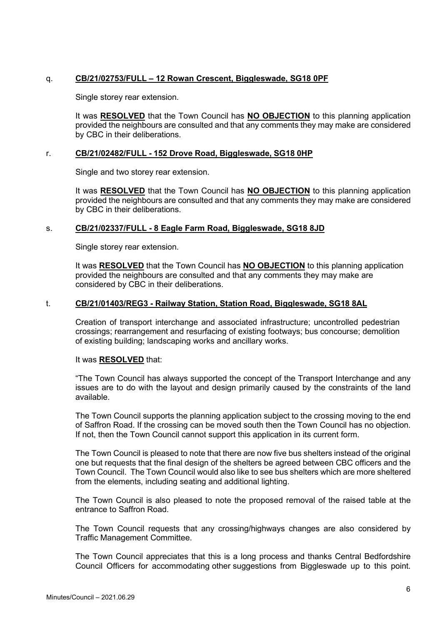## q. **CB/21/02753/FULL – [12 Rowan Crescent, Biggleswade, SG18 0PF](http://plantech.centralbedfordshire.gov.uk/PLANTECH/DCWebPages/acolnetcgi.gov?ACTION=UNWRAP&RIPNAME=Root.PgeResultDetail&TheSystemkey=624234)**

Single storey rear extension.

It was **RESOLVED** that the Town Council has **NO OBJECTION** to this planning application provided the neighbours are consulted and that any comments they may make are considered by CBC in their deliberations.

#### r. **[CB/21/02482/FULL](http://plantech.centralbedfordshire.gov.uk/PLANTECH/DCWebPages/acolnetcgi.gov?ACTION=UNWRAP&RIPNAME=Root.PgeResultDetail&TheSystemkey=623963) - 152 Drove Road, Biggleswade, SG18 0HP**

Single and two storey rear extension.

It was **RESOLVED** that the Town Council has **NO OBJECTION** to this planning application provided the neighbours are consulted and that any comments they may make are considered by CBC in their deliberations.

## s. **CB/21/02337/FULL - 8 Eagle Farm Road, Biggleswade, SG18 8JD**

Single storey rear extension.

It was **RESOLVED** that the Town Council has **NO OBJECTION** to this planning application provided the neighbours are consulted and that any comments they may make are considered by CBC in their deliberations.

#### t. **[CB/21/01403/REG3](http://plantech.centralbedfordshire.gov.uk/PLANTECH/DCWebPages/acolnetcgi.gov?ACTION=UNWRAP&RIPNAME=Root.PgeResultDetail&TheSystemkey=622884) - Railway Station, Station Road, Biggleswade, SG18 8AL**

Creation of transport interchange and associated infrastructure; uncontrolled pedestrian crossings; rearrangement and resurfacing of existing footways; bus concourse; demolition of existing building; landscaping works and ancillary works.

#### It was **RESOLVED** that:

"The Town Council has always supported the concept of the Transport Interchange and any issues are to do with the layout and design primarily caused by the constraints of the land available.

The Town Council supports the planning application subject to the crossing moving to the end of Saffron Road. If the crossing can be moved south then the Town Council has no objection. If not, then the Town Council cannot support this application in its current form.

The Town Council is pleased to note that there are now five bus shelters instead of the original one but requests that the final design of the shelters be agreed between CBC officers and the Town Council. The Town Council would also like to see bus shelters which are more sheltered from the elements, including seating and additional lighting.

The Town Council is also pleased to note the proposed removal of the raised table at the entrance to Saffron Road.

The Town Council requests that any crossing/highways changes are also considered by Traffic Management Committee.

The Town Council appreciates that this is a long process and thanks Central Bedfordshire Council Officers for accommodating other suggestions from Biggleswade up to this point.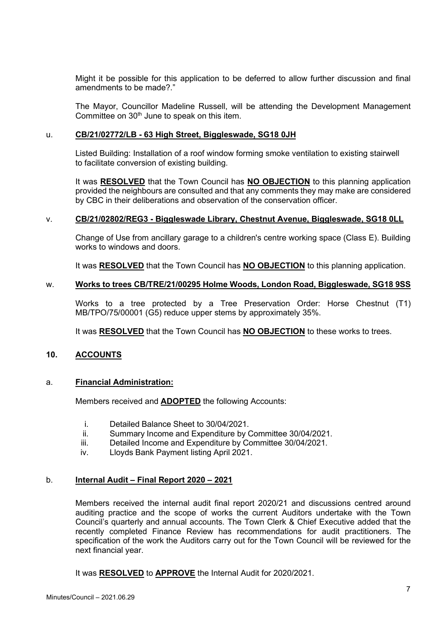Might it be possible for this application to be deferred to allow further discussion and final amendments to be made?."

The Mayor, Councillor Madeline Russell, will be attending the Development Management Committee on 30<sup>th</sup> June to speak on this item.

#### u. **CB/21/02772/LB - [63 High Street, Biggleswade, SG18 0JH](http://plantech.centralbedfordshire.gov.uk/PLANTECH/DCWebPages/acolnetcgi.gov?ACTION=UNWRAP&RIPNAME=Root.PgeResultDetail&TheSystemkey=624253)**

Listed Building: Installation of a roof window forming smoke ventilation to existing stairwell to facilitate conversion of existing building.

It was **RESOLVED** that the Town Council has **NO OBJECTION** to this planning application provided the neighbours are consulted and that any comments they may make are considered by CBC in their deliberations and observation of the conservation officer.

#### v. **CB/21/02802/REG3 - [Biggleswade Library, Chestnut Avenue, Biggleswade, SG18 0LL](http://plantech.centralbedfordshire.gov.uk/PLANTECH/DCWebPages/acolnetcgi.gov?ACTION=UNWRAP&RIPNAME=Root.PgeResultDetail&TheSystemkey=624283)**

Change of Use from ancillary garage to a children's centre working space (Class E). Building works to windows and doors.

It was **RESOLVED** that the Town Council has **NO OBJECTION** to this planning application.

#### w. **Works to trees CB/TRE/21/00295 Holme Woods, London Road, Biggleswade, SG18 9SS**

Works to a tree protected by a Tree Preservation Order: Horse Chestnut (T1) MB/TPO/75/00001 (G5) reduce upper stems by approximately 35%.

It was **RESOLVED** that the Town Council has **NO OBJECTION** to these works to trees.

# **10. ACCOUNTS**

## a. **Financial Administration:**

Members received and **ADOPTED** the following Accounts:

- i. Detailed Balance Sheet to 30/04/2021.<br>ii. Summary Income and Expenditure by 0
- ii. Summary Income and Expenditure by Committee 30/04/2021.<br>iii. Detailed Income and Expenditure by Committee 30/04/2021.
- Detailed Income and Expenditure by Committee 30/04/2021.
- iv. Lloyds Bank Payment listing April 2021.

## b. **Internal Audit – Final Report 2020 – 2021**

Members received the internal audit final report 2020/21 and discussions centred around auditing practice and the scope of works the current Auditors undertake with the Town Council's quarterly and annual accounts. The Town Clerk & Chief Executive added that the recently completed Finance Review has recommendations for audit practitioners. The specification of the work the Auditors carry out for the Town Council will be reviewed for the next financial year.

It was **RESOLVED** to **APPROVE** the Internal Audit for 2020/2021.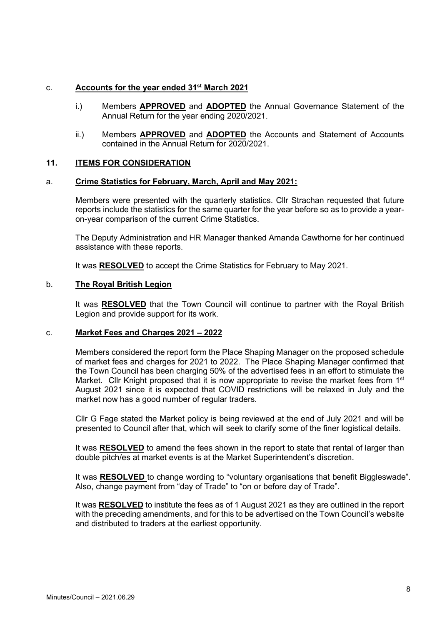#### c. **Accounts for the year ended 31st March 2021**

- i.) Members **APPROVED** and **ADOPTED** the Annual Governance Statement of the Annual Return for the year ending 2020/2021.
- ii.) Members **APPROVED** and **ADOPTED** the Accounts and Statement of Accounts contained in the Annual Return for 2020/2021.

#### **11. ITEMS FOR CONSIDERATION**

#### a. **Crime Statistics for February, March, April and May 2021:**

Members were presented with the quarterly statistics. Cllr Strachan requested that future reports include the statistics for the same quarter for the year before so as to provide a yearon-year comparison of the current Crime Statistics.

The Deputy Administration and HR Manager thanked Amanda Cawthorne for her continued assistance with these reports.

It was **RESOLVED** to accept the Crime Statistics for February to May 2021.

#### b. **The Royal British Legion**

It was **RESOLVED** that the Town Council will continue to partner with the Royal British Legion and provide support for its work.

#### c. **Market Fees and Charges 2021 – 2022**

Members considered the report form the Place Shaping Manager on the proposed schedule of market fees and charges for 2021 to 2022. The Place Shaping Manager confirmed that the Town Council has been charging 50% of the advertised fees in an effort to stimulate the Market. Cllr Knight proposed that it is now appropriate to revise the market fees from  $1<sup>st</sup>$ August 2021 since it is expected that COVID restrictions will be relaxed in July and the market now has a good number of regular traders.

Cllr G Fage stated the Market policy is being reviewed at the end of July 2021 and will be presented to Council after that, which will seek to clarify some of the finer logistical details.

It was **RESOLVED** to amend the fees shown in the report to state that rental of larger than double pitch/es at market events is at the Market Superintendent's discretion.

It was **RESOLVED** to change wording to "voluntary organisations that benefit Biggleswade". Also, change payment from "day of Trade" to "on or before day of Trade".

It was **RESOLVED** to institute the fees as of 1 August 2021 as they are outlined in the report with the preceding amendments, and for this to be advertised on the Town Council's website and distributed to traders at the earliest opportunity.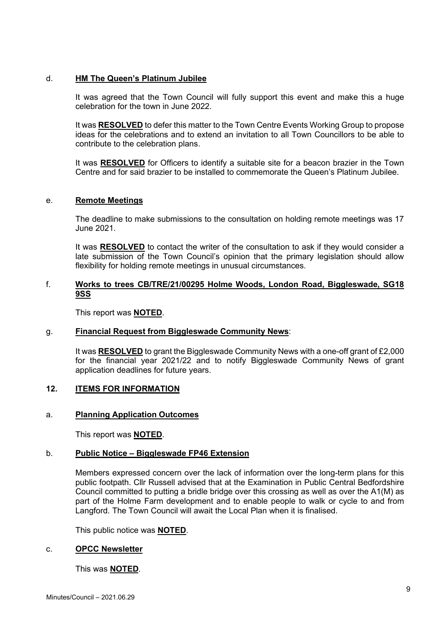## d. **HM The Queen's Platinum Jubilee**

It was agreed that the Town Council will fully support this event and make this a huge celebration for the town in June 2022.

It was **RESOLVED** to defer this matter to the Town Centre Events Working Group to propose ideas for the celebrations and to extend an invitation to all Town Councillors to be able to contribute to the celebration plans.

It was **RESOLVED** for Officers to identify a suitable site for a beacon brazier in the Town Centre and for said brazier to be installed to commemorate the Queen's Platinum Jubilee.

## e. **Remote Meetings**

The deadline to make submissions to the consultation on holding remote meetings was 17 June 2021.

It was **RESOLVED** to contact the writer of the consultation to ask if they would consider a late submission of the Town Council's opinion that the primary legislation should allow flexibility for holding remote meetings in unusual circumstances.

## f. **Works to trees CB/TRE/21/00295 Holme Woods, London Road, Biggleswade, SG18 9SS**

This report was **NOTED**.

## g. **Financial Request from Biggleswade Community News**:

It was **RESOLVED** to grant the Biggleswade Community News with a one-off grant of £2,000 for the financial year 2021/22 and to notify Biggleswade Community News of grant application deadlines for future years.

## **12. ITEMS FOR INFORMATION**

## a. **Planning Application Outcomes**

This report was **NOTED**.

#### b. **Public Notice – Biggleswade FP46 Extension**

Members expressed concern over the lack of information over the long-term plans for this public footpath. Cllr Russell advised that at the Examination in Public Central Bedfordshire Council committed to putting a bridle bridge over this crossing as well as over the A1(M) as part of the Holme Farm development and to enable people to walk or cycle to and from Langford. The Town Council will await the Local Plan when it is finalised.

This public notice was **NOTED**.

## c. **OPCC Newsletter**

This was **NOTED**.